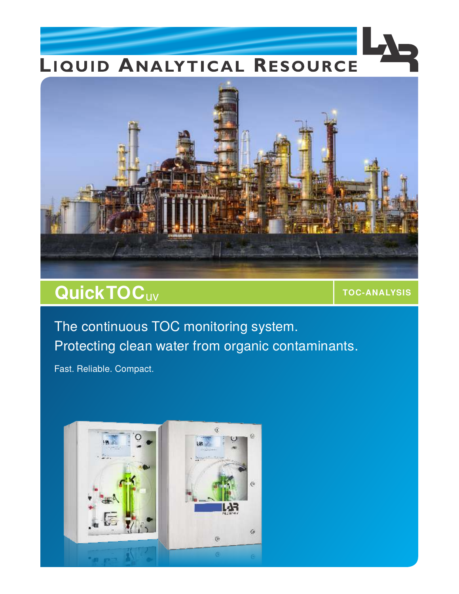## LIQUID ANALYTICAL RESOURCE



## **Quick TOC** UV **TOC-ANALYSIS**

The continuous TOC monitoring system. Protecting clean water from organic contaminants.

Fast. Reliable. Compact.

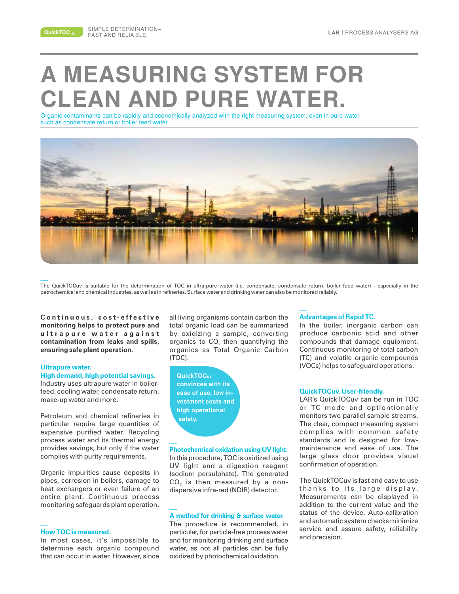**QuickTOC**uv

# **A MEASURING SYSTEM FOR CLEAN AND PURE WATER.**

Organic contaminants can be rapidly and economically analyzed with the right measuring system, even in pure water such as condensate return or boiler feed water.



The QuickTOCuv is suitable for the determination of TOC in ultra-pure water (i.e. condensate, condensate return, boiler feed water) - especially in the petrochemical and chemical industries, as well as in refineries. Surface water and drinking water can also be monitored reliably.

 $C$  ontinuous, cost-effective **monitoring helps to protect pure and u l t r a p u r e w a t e r a g a i n s t contamination from leaks and spills, ensuring safe plant operation.**

#### **Ultrapure water.**

**High demand, high potential savings.** Industry uses ultrapure water in boilerfeed, cooling water, condensate return, make-up water and more.

Petroleum and chemical refineries in particular require large quantities of expensive purified water. Recycling process water and its thermal energy provides savings, but only if the water complies with purity requirements.

Organic impurities cause deposits in pipes, corrosion in boilers, damage to heat exchangers or even failure of an entire plant. Continuous process monitoring safeguards plant operation.

#### **How TOC is measured.**

In most cases, it's impossible to determine each organic compound that can occur in water. However, since all living organisms contain carbon the total organic load can be summarized by oxidizing a sample, converting organics to  $CO<sub>2</sub>$  then quantifying the organics as Total Organic Carbon (TOC).

**QuickTOCuv convinces with its ease of use, low investment costs and high operational safety.**

**\_\_**

In this procedure, TOC is oxidized using UV light and a digestion reagent (sodium persulphate). The generated  $CO<sub>2</sub>$  is then measured by a nondispersive infra-red (NDIR) detector. **Photochemical oxidation using UV light.**

#### **A method for drinking & surface water.**

The procedure is recommended, in particular, for particle-free process water and for monitoring drinking and surface water, as not all particles can be fully oxidized by photochemical oxidation.

#### **Advantages of Rapid TC.**

In the boiler, inorganic carbon can produce carbonic acid and other compounds that damage equipment. Continuous monitoring of total carbon (TC) and volatile organic compounds (VOCs) helps to safeguard operations.

#### **QuickTOCuv. User-friendly.**

LAR's QuickTOCuv can be run in TOC or TC mode and optiontionally monitors two parallel sample streams. The clear, compact measuring system complies with common safety standards and is designed for lowmaintenance and ease of use. The large glass door provides visual confirmation of operation.

The QuickTOCuv is fast and easy to use thanks to its large display. Measurements can be displayed in addition to the current value and the status of the device. Auto-calibration and automatic system checks minimize service and assure safety, reliability and precision.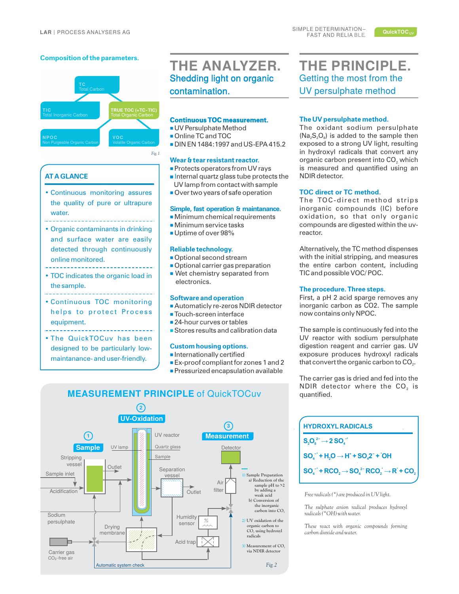#### **Composition of the parameters.**



#### **AT A GLANCE**

• Continuous monitoring assures the quality of pure or ultrapure water.

- Organic contaminants in drinking and surface water are easily detected through continuously online monitored.
- 
- TOC indicates the organic load in the sample.
- 
- Continuous TOC monitoring helps to protect Process equipment.
- The QuickTOCuv has been designed to be particularly lowmaintanance- and user-friendly.

### **THE ANALYZER.** Shedding light on organic contamination.

#### **Continuous TOC measurement.**

- UV Persulphate Method
- Online TC and TOC
- DIN EN 1484:1997 and US-EPA 415.2

#### **Wear & tear resistant reactor.**

- Protects operators from UV rays
- Internal quartz glass tube protects the UV lamp from contact with sample
- Over two years of safe operation

#### **Simple, fast operation & maintanance.**

- Minimum chemical requirements
- Minimum service tasks
- Uptime of over 98%

#### **Reliable technology.**

- Optional second stream
- Optional carrier gas preparation
- Wet chemistry separated from electronics.

#### **Software and operation**

- Automaticly re-zeros NDIR detector
- Touch-screen interface
- 24-hour curves or tables
- Stores results and calibration data

#### **Custom housing options.**

- Internationally certified
- Ex-proof compliant for zones 1 and 2
- Pressurized encapsulation available



**The UV persulphate method.**

exposed to a strong UV light, resulting in hydroxyl radicals that convert any organic carbon present into CO<sub>2</sub> which is measured and quantified using an NDIR detector.

The oxidant sodium persulphate  $(Na_2S_2O_8)$  is added to the sample then

**THE PRINCIPLE.** Getting the most from the UV persulphate method

#### **TOC direct or TC method.**

The TOC-direct method strips inorganic compounds (IC) before oxidation, so that only organic compounds are digested within the uvreactor.

Alternatively, the TC method dispenses with the initial stripping, and measures the entire carbon content, including TIC and possible VOC/ POC.

#### **The procedure. Three steps.**

First, a pH 2 acid sparge removes any inorganic carbon as CO2. The sample now contains only NPOC.

The sample is continuously fed into the UV reactor with sodium persulphate digestion reagent and carrier gas. UV exposure produces hydroxyl radicals that convert the organic carbon to  $CO<sub>2</sub>$ .

The carrier gas is dried and fed into the NDIR detector where the CO<sub>2</sub> is quantified.

| <b>HYDROXYL RADICALS</b>                                                                                                      |
|-------------------------------------------------------------------------------------------------------------------------------|
| $\text{S}_2\text{O}_8^2 \rightarrow 2 \text{SO}_4^2$                                                                          |
| $SO_4^-$ + H <sub>2</sub> O $\rightarrow$ H <sup>+</sup> + SO <sub>2</sub> 2 <sup>-</sup> + $^{\circ}$ OH                     |
| $SO_4^{-1}$ + RCO, $\rightarrow$ SO <sub>4</sub> <sup>2</sup> RCO <sub>2</sub> $\rightarrow$ R <sup>2</sup> + CO <sub>2</sub> |

*Free radicals (\*) are produced in UV light.*

*The sulphate anion radical produces hydroxyl radicals (\*OH) with water.*

*These react with organic compounds forming carbon dioxide and water.*